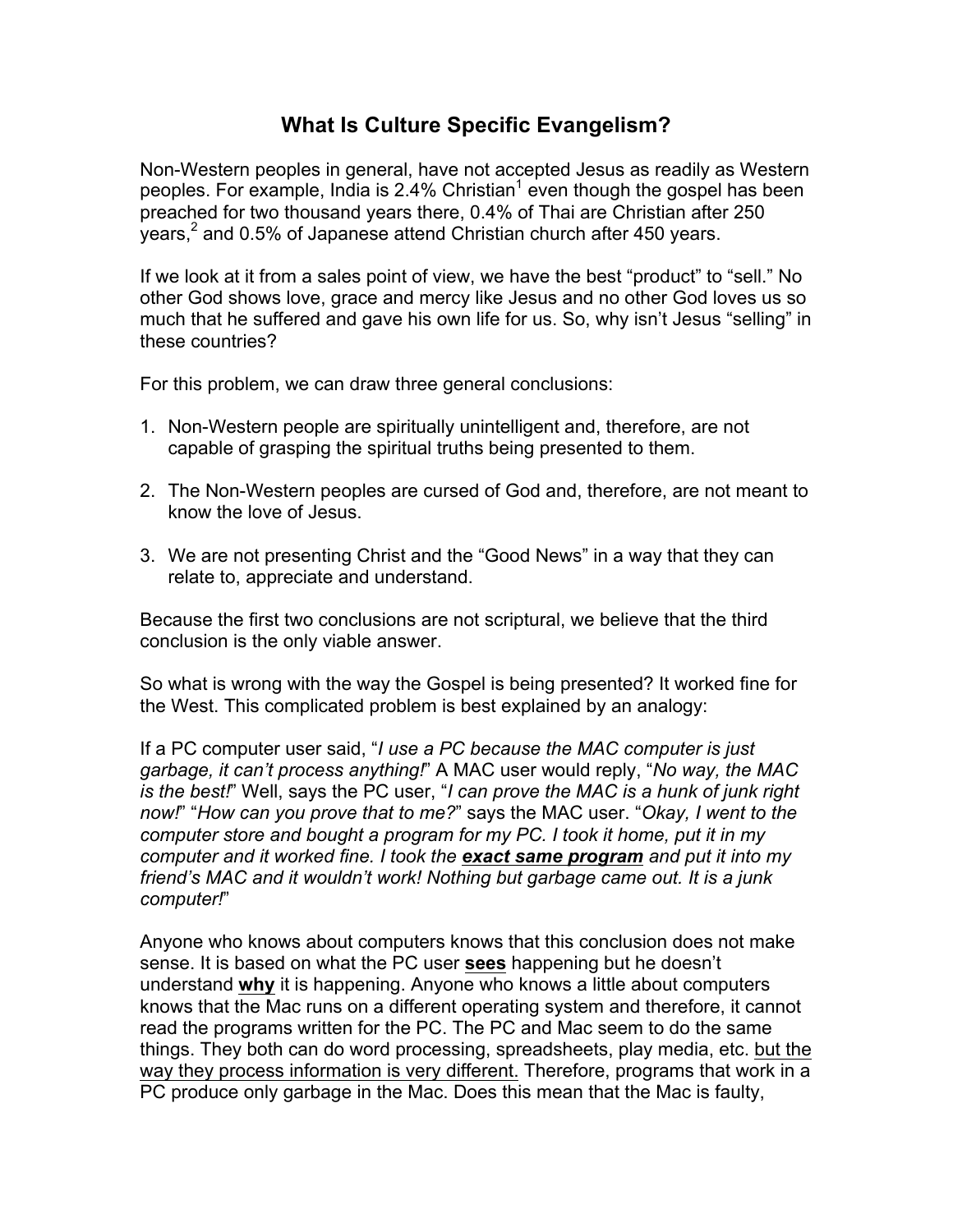# **What Is Culture Specific Evangelism?**

Non-Western peoples in general, have not accepted Jesus as readily as Western peoples. For example, India is 2.4% Christian<sup>1</sup> even though the gospel has been preached for two thousand years there, 0.4% of Thai are Christian after 250 years, $<sup>2</sup>$  and 0.5% of Japanese attend Christian church after 450 years.</sup>

If we look at it from a sales point of view, we have the best "product" to "sell." No other God shows love, grace and mercy like Jesus and no other God loves us so much that he suffered and gave his own life for us. So, why isn't Jesus "selling" in these countries?

For this problem, we can draw three general conclusions:

- 1. Non-Western people are spiritually unintelligent and, therefore, are not capable of grasping the spiritual truths being presented to them.
- 2. The Non-Western peoples are cursed of God and, therefore, are not meant to know the love of Jesus.
- 3. We are not presenting Christ and the "Good News" in a way that they can relate to, appreciate and understand.

Because the first two conclusions are not scriptural, we believe that the third conclusion is the only viable answer.

So what is wrong with the way the Gospel is being presented? It worked fine for the West. This complicated problem is best explained by an analogy:

If a PC computer user said, "*I use a PC because the MAC computer is just garbage, it can't process anything!*" A MAC user would reply, "*No way, the MAC is the best!*" Well, says the PC user, "*I can prove the MAC is a hunk of junk right now!*" "*How can you prove that to me?*" says the MAC user. "*Okay, I went to the computer store and bought a program for my PC. I took it home, put it in my computer and it worked fine. I took the exact same program and put it into my friend's MAC and it wouldn't work! Nothing but garbage came out. It is a junk computer!*"

Anyone who knows about computers knows that this conclusion does not make sense. It is based on what the PC user **sees** happening but he doesn't understand **why** it is happening. Anyone who knows a little about computers knows that the Mac runs on a different operating system and therefore, it cannot read the programs written for the PC. The PC and Mac seem to do the same things. They both can do word processing, spreadsheets, play media, etc. but the way they process information is very different. Therefore, programs that work in a PC produce only garbage in the Mac. Does this mean that the Mac is faulty,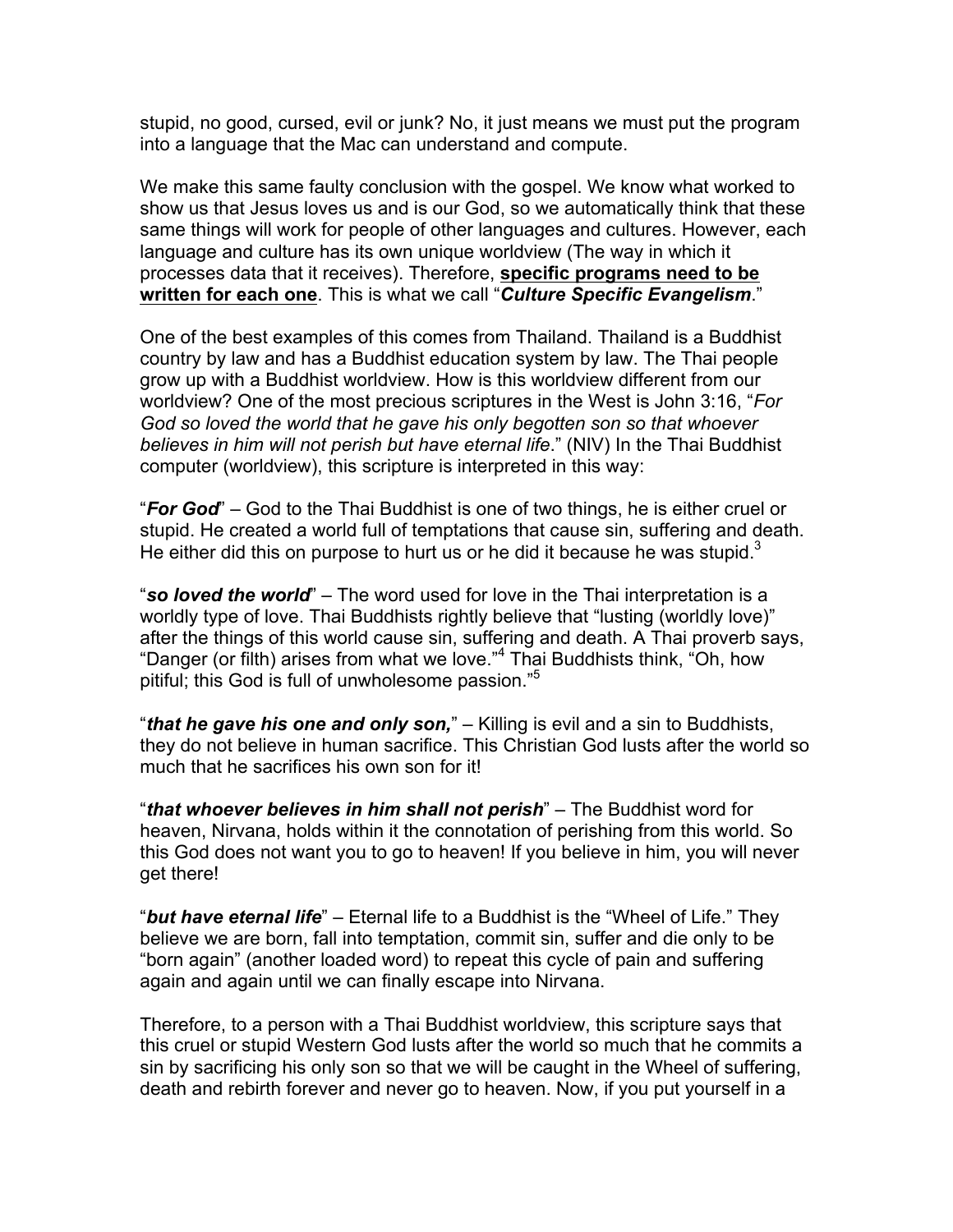stupid, no good, cursed, evil or junk? No, it just means we must put the program into a language that the Mac can understand and compute.

We make this same faulty conclusion with the gospel. We know what worked to show us that Jesus loves us and is our God, so we automatically think that these same things will work for people of other languages and cultures. However, each language and culture has its own unique worldview (The way in which it processes data that it receives). Therefore, **specific programs need to be written for each one**. This is what we call "*Culture Specific Evangelism*."

One of the best examples of this comes from Thailand. Thailand is a Buddhist country by law and has a Buddhist education system by law. The Thai people grow up with a Buddhist worldview. How is this worldview different from our worldview? One of the most precious scriptures in the West is John 3:16, "*For God so loved the world that he gave his only begotten son so that whoever believes in him will not perish but have eternal life*." (NIV) In the Thai Buddhist computer (worldview), this scripture is interpreted in this way:

"*For God*" – God to the Thai Buddhist is one of two things, he is either cruel or stupid. He created a world full of temptations that cause sin, suffering and death. He either did this on purpose to hurt us or he did it because he was stupid.<sup>3</sup>

"*so loved the world*" – The word used for love in the Thai interpretation is a worldly type of love. Thai Buddhists rightly believe that "lusting (worldly love)" after the things of this world cause sin, suffering and death. A Thai proverb says, "Danger (or filth) arises from what we love."<sup>4</sup> Thai Buddhists think, "Oh, how pitiful; this God is full of unwholesome passion."5

"*that he gave his one and only son,*" – Killing is evil and a sin to Buddhists, they do not believe in human sacrifice. This Christian God lusts after the world so much that he sacrifices his own son for it!

"*that whoever believes in him shall not perish*" – The Buddhist word for heaven, Nirvana, holds within it the connotation of perishing from this world. So this God does not want you to go to heaven! If you believe in him, you will never get there!

"*but have eternal life*" – Eternal life to a Buddhist is the "Wheel of Life." They believe we are born, fall into temptation, commit sin, suffer and die only to be "born again" (another loaded word) to repeat this cycle of pain and suffering again and again until we can finally escape into Nirvana.

Therefore, to a person with a Thai Buddhist worldview, this scripture says that this cruel or stupid Western God lusts after the world so much that he commits a sin by sacrificing his only son so that we will be caught in the Wheel of suffering, death and rebirth forever and never go to heaven. Now, if you put yourself in a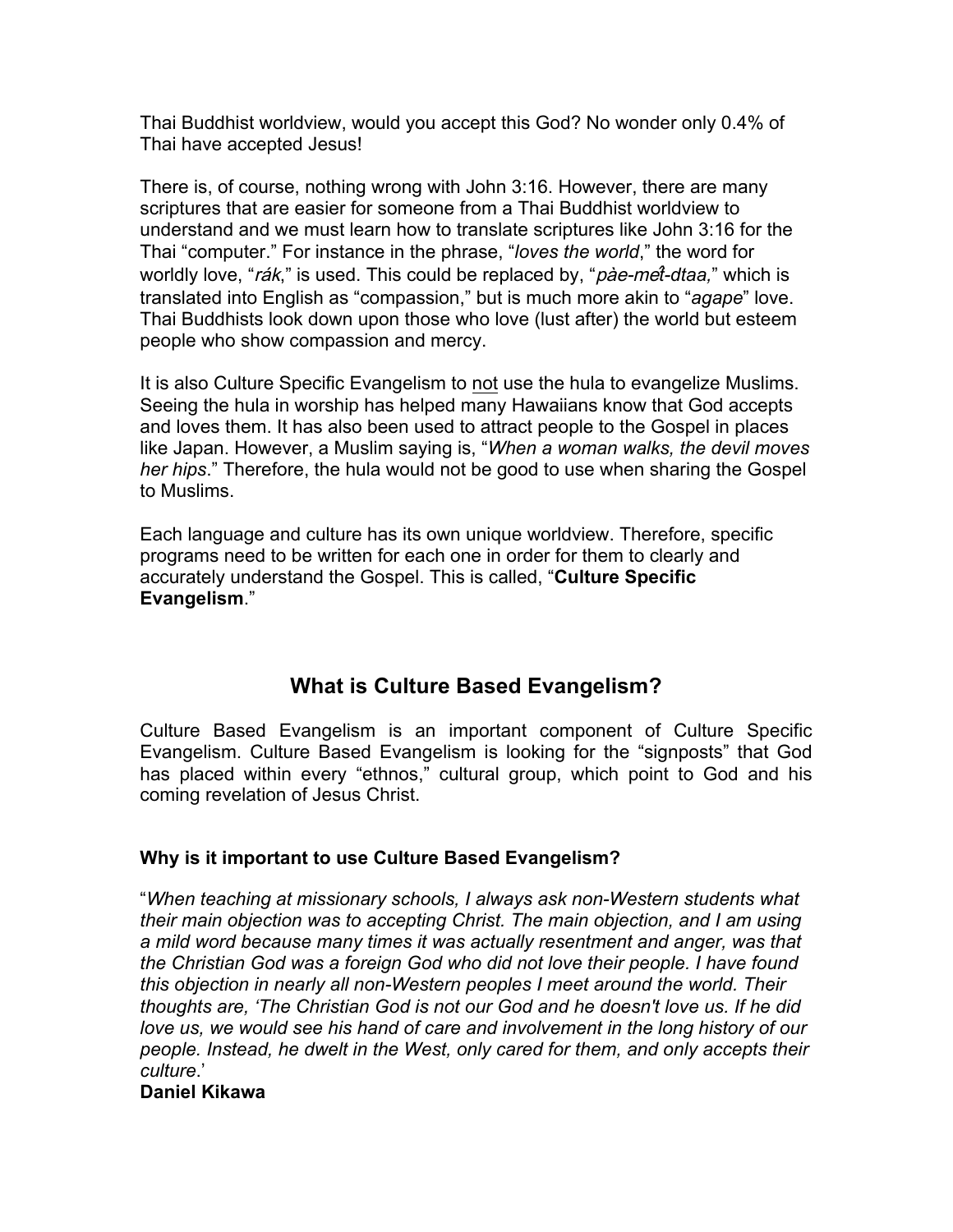Thai Buddhist worldview, would you accept this God? No wonder only 0.4% of Thai have accepted Jesus!

There is, of course, nothing wrong with John 3:16. However, there are many scriptures that are easier for someone from a Thai Buddhist worldview to understand and we must learn how to translate scriptures like John 3:16 for the Thai "computer." For instance in the phrase, "*loves the world*," the word for worldly love, "rák," is used. This could be replaced by, "pàe-mê*t-dtaa,*" which is translated into English as "compassion," but is much more akin to "*agape*" love. Thai Buddhists look down upon those who love (lust after) the world but esteem people who show compassion and mercy.

It is also Culture Specific Evangelism to not use the hula to evangelize Muslims. Seeing the hula in worship has helped many Hawaiians know that God accepts and loves them. It has also been used to attract people to the Gospel in places like Japan. However, a Muslim saying is, "*When a woman walks, the devil moves her hips*." Therefore, the hula would not be good to use when sharing the Gospel to Muslims.

Each language and culture has its own unique worldview. Therefore, specific programs need to be written for each one in order for them to clearly and accurately understand the Gospel. This is called, "**Culture Specific Evangelism**."

# **What is Culture Based Evangelism?**

Culture Based Evangelism is an important component of Culture Specific Evangelism. Culture Based Evangelism is looking for the "signposts" that God has placed within every "ethnos," cultural group, which point to God and his coming revelation of Jesus Christ.

## **Why is it important to use Culture Based Evangelism?**

"*When teaching at missionary schools, I always ask non-Western students what their main objection was to accepting Christ. The main objection, and I am using a mild word because many times it was actually resentment and anger, was that the Christian God was a foreign God who did not love their people. I have found this objection in nearly all non-Western peoples I meet around the world. Their thoughts are, 'The Christian God is not our God and he doesn't love us. If he did love us, we would see his hand of care and involvement in the long history of our people. Instead, he dwelt in the West, only cared for them, and only accepts their culture*.'

#### **Daniel Kikawa**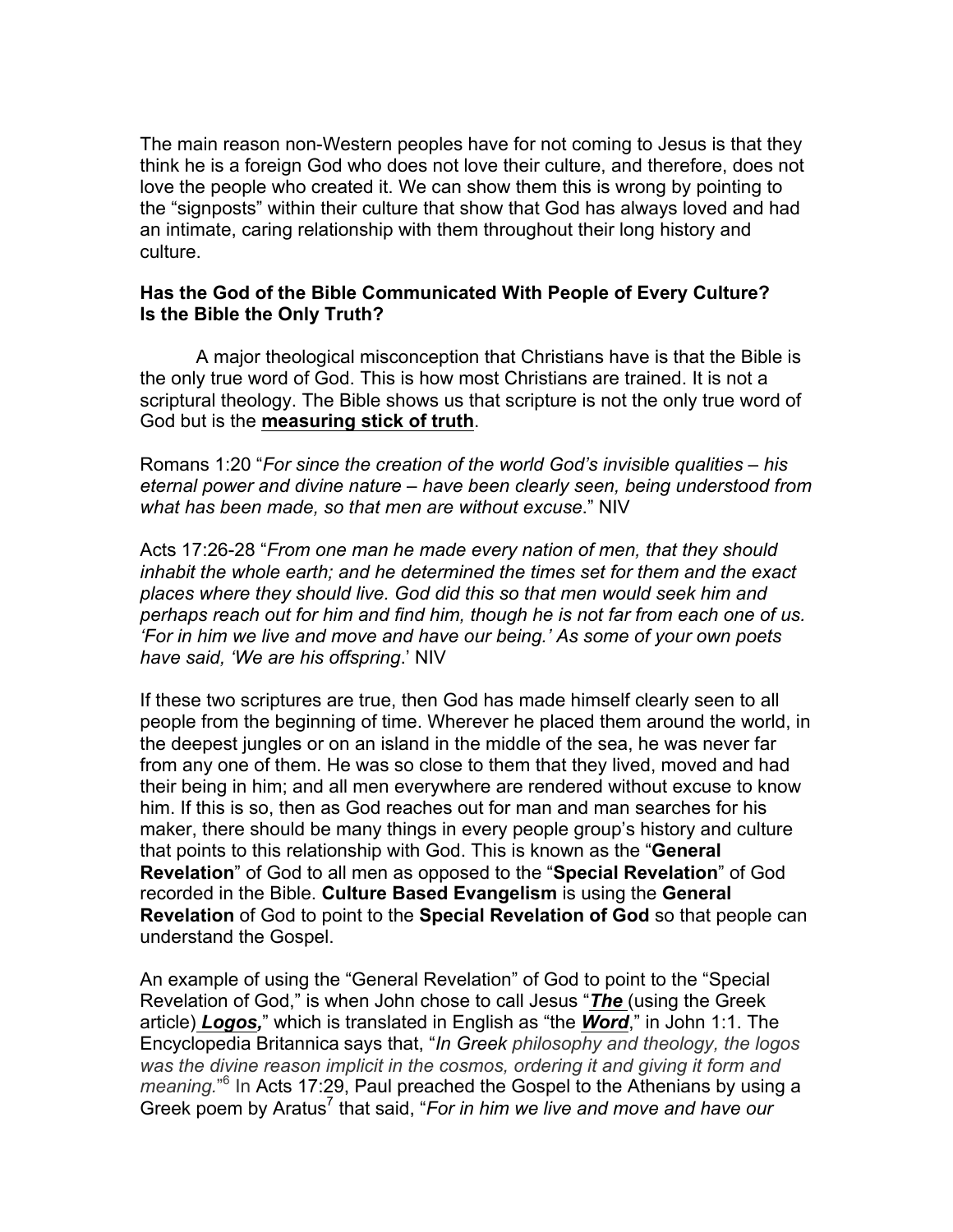The main reason non-Western peoples have for not coming to Jesus is that they think he is a foreign God who does not love their culture, and therefore, does not love the people who created it. We can show them this is wrong by pointing to the "signposts" within their culture that show that God has always loved and had an intimate, caring relationship with them throughout their long history and culture.

#### **Has the God of the Bible Communicated With People of Every Culture? Is the Bible the Only Truth?**

A major theological misconception that Christians have is that the Bible is the only true word of God. This is how most Christians are trained. It is not a scriptural theology. The Bible shows us that scripture is not the only true word of God but is the **measuring stick of truth**.

Romans 1:20 "*For since the creation of the world God's invisible qualities – his eternal power and divine nature – have been clearly seen, being understood from what has been made, so that men are without excuse*." NIV

Acts 17:26-28 "*From one man he made every nation of men, that they should inhabit the whole earth; and he determined the times set for them and the exact places where they should live. God did this so that men would seek him and perhaps reach out for him and find him, though he is not far from each one of us. 'For in him we live and move and have our being.' As some of your own poets have said, 'We are his offspring*.' NIV

If these two scriptures are true, then God has made himself clearly seen to all people from the beginning of time. Wherever he placed them around the world, in the deepest jungles or on an island in the middle of the sea, he was never far from any one of them. He was so close to them that they lived, moved and had their being in him; and all men everywhere are rendered without excuse to know him. If this is so, then as God reaches out for man and man searches for his maker, there should be many things in every people group's history and culture that points to this relationship with God. This is known as the "**General Revelation**" of God to all men as opposed to the "**Special Revelation**" of God recorded in the Bible. **Culture Based Evangelism** is using the **General Revelation** of God to point to the **Special Revelation of God** so that people can understand the Gospel.

An example of using the "General Revelation" of God to point to the "Special Revelation of God," is when John chose to call Jesus "*The* (using the Greek article) *Logos,*" which is translated in English as "the *Word*," in John 1:1. The Encyclopedia Britannica says that, "*In Greek philosophy and theology, the logos was the divine reason implicit in the cosmos, ordering it and giving it form and*  meaning.<sup>"6</sup> In Acts 17:29, Paul preached the Gospel to the Athenians by using a Greek poem by Aratus<sup>7</sup> that said, "*For in him we live and move and have our*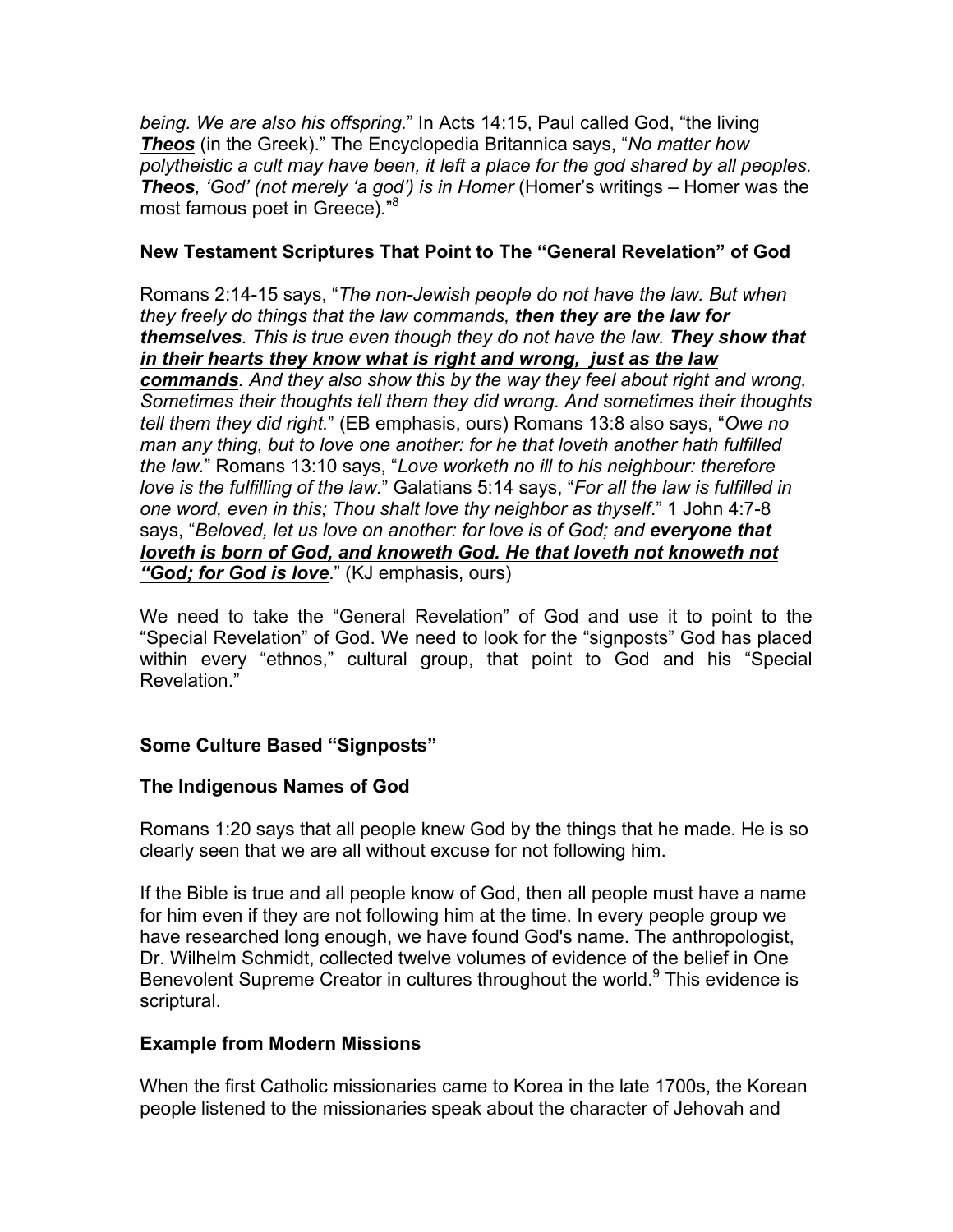*being. We are also his offspring.*" In Acts 14:15, Paul called God, "the living *Theos* (in the Greek)." The Encyclopedia Britannica says, "*No matter how polytheistic a cult may have been, it left a place for the god shared by all peoples. Theos, 'God' (not merely 'a god') is in Homer* (Homer's writings – Homer was the most famous poet in Greece)*.*" 8

#### **New Testament Scriptures That Point to The "General Revelation" of God**

Romans 2:14-15 says, "*The non-Jewish people do not have the law. But when they freely do things that the law commands, then they are the law for themselves. This is true even though they do not have the law. They show that in their hearts they know what is right and wrong, just as the law commands. And they also show this by the way they feel about right and wrong, Sometimes their thoughts tell them they did wrong. And sometimes their thoughts tell them they did right.*" (EB emphasis, ours) Romans 13:8 also says, "*Owe no man any thing, but to love one another: for he that loveth another hath fulfilled the law.*" Romans 13:10 says, "*Love worketh no ill to his neighbour: therefore love is the fulfilling of the law.*" Galatians 5:14 says, "*For all the law is fulfilled in one word, even in this; Thou shalt love thy neighbor as thyself*." 1 John 4:7-8 says, "*Beloved, let us love on another: for love is of God; and everyone that loveth is born of God, and knoweth God. He that loveth not knoweth not "God; for God is love*." (KJ emphasis, ours)

We need to take the "General Revelation" of God and use it to point to the "Special Revelation" of God. We need to look for the "signposts" God has placed within every "ethnos," cultural group, that point to God and his "Special Revelation."

## **Some Culture Based "Signposts"**

## **The Indigenous Names of God**

Romans 1:20 says that all people knew God by the things that he made. He is so clearly seen that we are all without excuse for not following him.

If the Bible is true and all people know of God, then all people must have a name for him even if they are not following him at the time. In every people group we have researched long enough, we have found God's name. The anthropologist, Dr. Wilhelm Schmidt, collected twelve volumes of evidence of the belief in One Benevolent Supreme Creator in cultures throughout the world.<sup>9</sup> This evidence is scriptural.

## **Example from Modern Missions**

When the first Catholic missionaries came to Korea in the late 1700s, the Korean people listened to the missionaries speak about the character of Jehovah and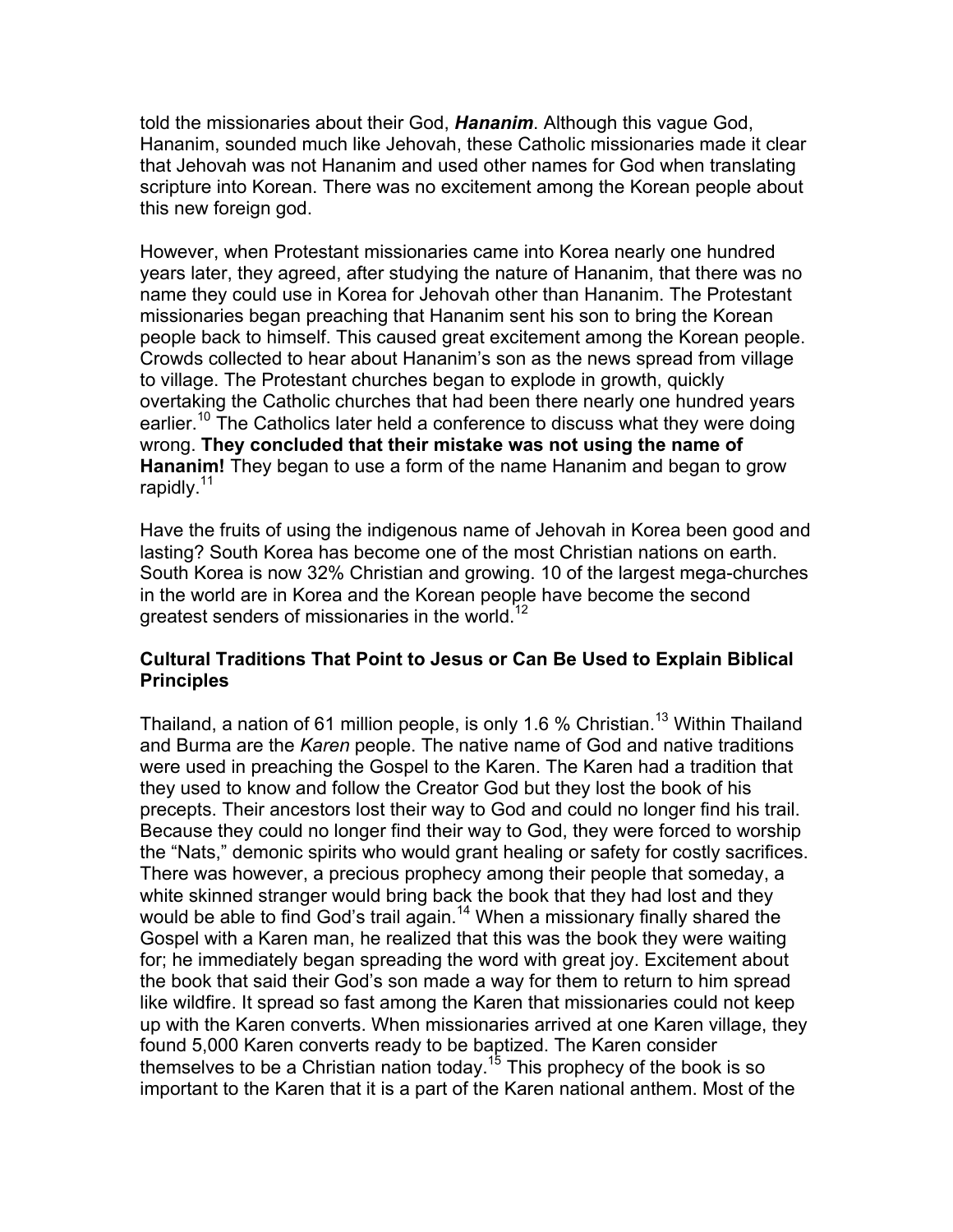told the missionaries about their God, *Hananim*. Although this vague God, Hananim, sounded much like Jehovah, these Catholic missionaries made it clear that Jehovah was not Hananim and used other names for God when translating scripture into Korean. There was no excitement among the Korean people about this new foreign god.

However, when Protestant missionaries came into Korea nearly one hundred years later, they agreed, after studying the nature of Hananim, that there was no name they could use in Korea for Jehovah other than Hananim. The Protestant missionaries began preaching that Hananim sent his son to bring the Korean people back to himself. This caused great excitement among the Korean people. Crowds collected to hear about Hananim's son as the news spread from village to village. The Protestant churches began to explode in growth, quickly overtaking the Catholic churches that had been there nearly one hundred years earlier.<sup>10</sup> The Catholics later held a conference to discuss what they were doing wrong. **They concluded that their mistake was not using the name of Hananim!** They began to use a form of the name Hananim and began to grow rapidly.<sup>11</sup>

Have the fruits of using the indigenous name of Jehovah in Korea been good and lasting? South Korea has become one of the most Christian nations on earth. South Korea is now 32% Christian and growing. 10 of the largest mega-churches in the world are in Korea and the Korean people have become the second greatest senders of missionaries in the world.<sup>1</sup>

#### **Cultural Traditions That Point to Jesus or Can Be Used to Explain Biblical Principles**

Thailand, a nation of 61 million people, is only 1.6 % Christian.<sup>13</sup> Within Thailand and Burma are the *Karen* people. The native name of God and native traditions were used in preaching the Gospel to the Karen. The Karen had a tradition that they used to know and follow the Creator God but they lost the book of his precepts. Their ancestors lost their way to God and could no longer find his trail. Because they could no longer find their way to God, they were forced to worship the "Nats," demonic spirits who would grant healing or safety for costly sacrifices. There was however, a precious prophecy among their people that someday, a white skinned stranger would bring back the book that they had lost and they would be able to find God's trail again.<sup>14</sup> When a missionary finally shared the Gospel with a Karen man, he realized that this was the book they were waiting for; he immediately began spreading the word with great joy. Excitement about the book that said their God's son made a way for them to return to him spread like wildfire. It spread so fast among the Karen that missionaries could not keep up with the Karen converts. When missionaries arrived at one Karen village, they found 5,000 Karen converts ready to be baptized. The Karen consider themselves to be a Christian nation today.<sup>15</sup> This prophecy of the book is so important to the Karen that it is a part of the Karen national anthem. Most of the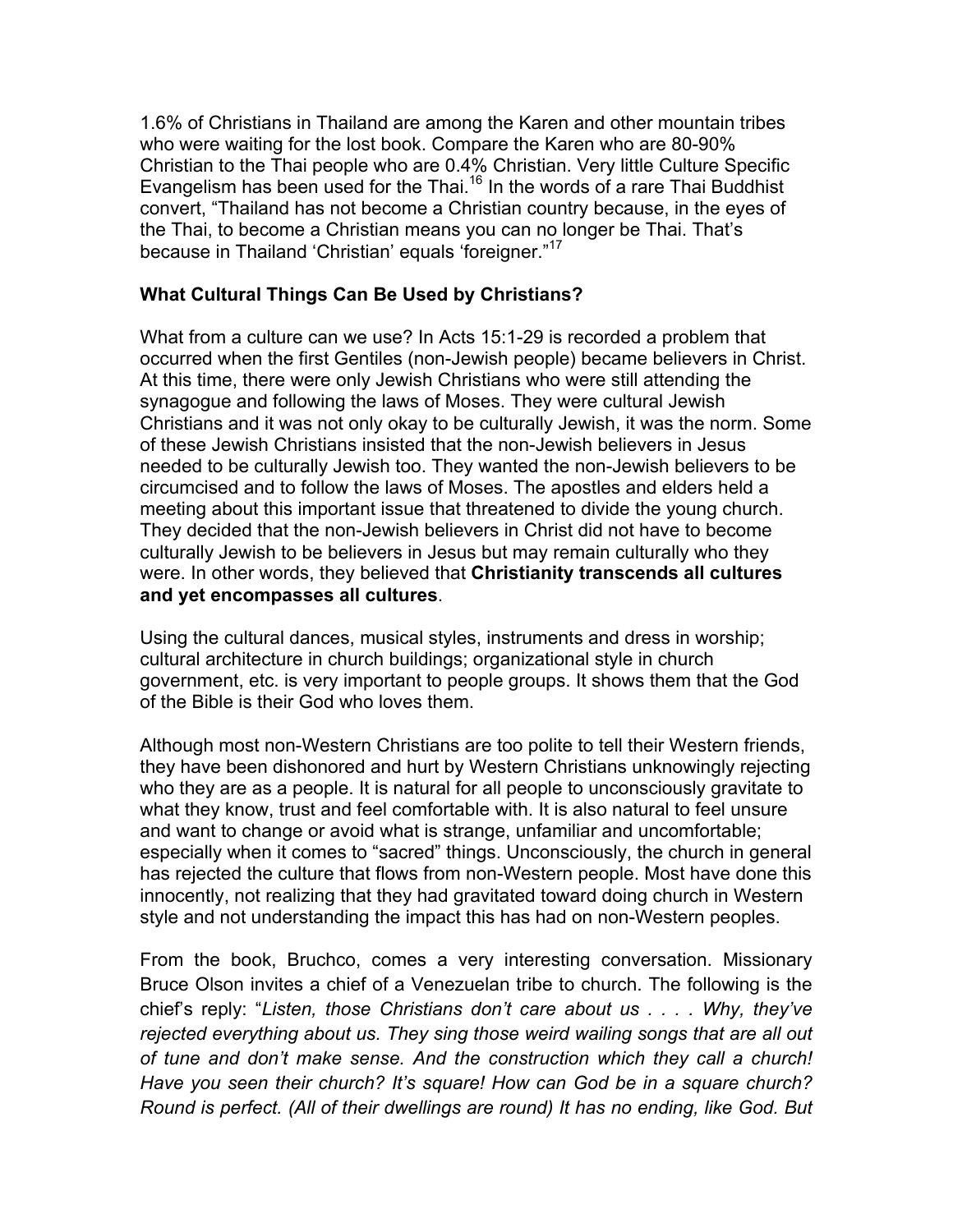1.6% of Christians in Thailand are among the Karen and other mountain tribes who were waiting for the lost book. Compare the Karen who are 80-90% Christian to the Thai people who are 0.4% Christian. Very little Culture Specific Evangelism has been used for the Thai.<sup>16</sup> In the words of a rare Thai Buddhist convert, "Thailand has not become a Christian country because, in the eyes of the Thai, to become a Christian means you can no longer be Thai. That's because in Thailand 'Christian' equals 'foreigner."17

#### **What Cultural Things Can Be Used by Christians?**

What from a culture can we use? In Acts 15:1-29 is recorded a problem that occurred when the first Gentiles (non-Jewish people) became believers in Christ. At this time, there were only Jewish Christians who were still attending the synagogue and following the laws of Moses. They were cultural Jewish Christians and it was not only okay to be culturally Jewish, it was the norm. Some of these Jewish Christians insisted that the non-Jewish believers in Jesus needed to be culturally Jewish too. They wanted the non-Jewish believers to be circumcised and to follow the laws of Moses. The apostles and elders held a meeting about this important issue that threatened to divide the young church. They decided that the non-Jewish believers in Christ did not have to become culturally Jewish to be believers in Jesus but may remain culturally who they were. In other words, they believed that **Christianity transcends all cultures and yet encompasses all cultures**.

Using the cultural dances, musical styles, instruments and dress in worship; cultural architecture in church buildings; organizational style in church government, etc. is very important to people groups. It shows them that the God of the Bible is their God who loves them.

Although most non-Western Christians are too polite to tell their Western friends, they have been dishonored and hurt by Western Christians unknowingly rejecting who they are as a people. It is natural for all people to unconsciously gravitate to what they know, trust and feel comfortable with. It is also natural to feel unsure and want to change or avoid what is strange, unfamiliar and uncomfortable; especially when it comes to "sacred" things. Unconsciously, the church in general has rejected the culture that flows from non-Western people. Most have done this innocently, not realizing that they had gravitated toward doing church in Western style and not understanding the impact this has had on non-Western peoples.

From the book, Bruchco, comes a very interesting conversation. Missionary Bruce Olson invites a chief of a Venezuelan tribe to church. The following is the chief's reply: "*Listen, those Christians don't care about us . . . . Why, they've rejected everything about us. They sing those weird wailing songs that are all out of tune and don't make sense. And the construction which they call a church! Have you seen their church? It's square! How can God be in a square church? Round is perfect. (All of their dwellings are round) It has no ending, like God. But*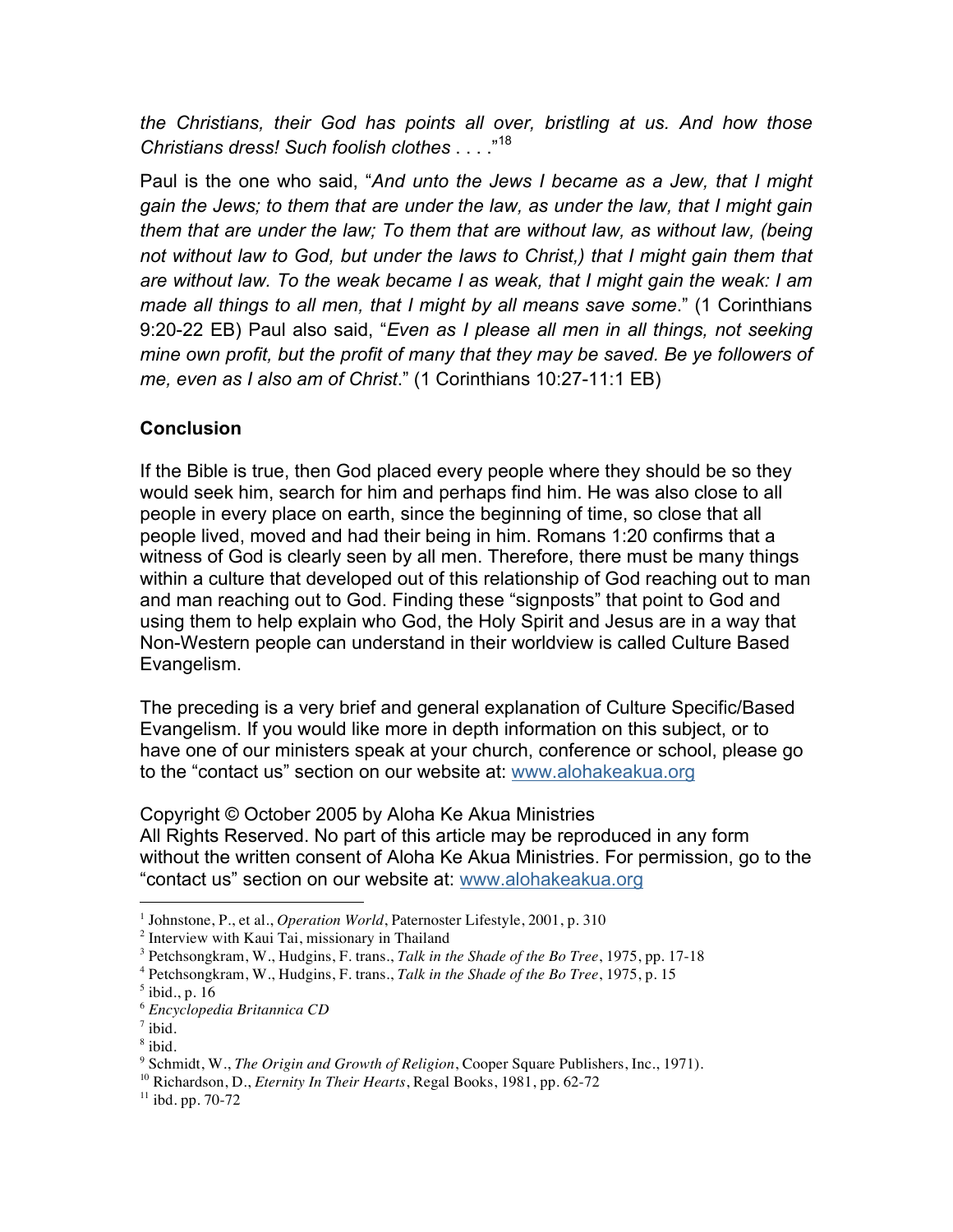*the Christians, their God has points all over, bristling at us. And how those Christians dress! Such foolish clothes* . . . ."<sup>18</sup>

Paul is the one who said, "*And unto the Jews I became as a Jew, that I might gain the Jews; to them that are under the law, as under the law, that I might gain them that are under the law; To them that are without law, as without law, (being not without law to God, but under the laws to Christ,) that I might gain them that are without law. To the weak became I as weak, that I might gain the weak: I am made all things to all men, that I might by all means save some*." (1 Corinthians 9:20-22 EB) Paul also said, "*Even as I please all men in all things, not seeking mine own profit, but the profit of many that they may be saved. Be ye followers of me, even as I also am of Christ*." (1 Corinthians 10:27-11:1 EB)

# **Conclusion**

If the Bible is true, then God placed every people where they should be so they would seek him, search for him and perhaps find him. He was also close to all people in every place on earth, since the beginning of time, so close that all people lived, moved and had their being in him. Romans 1:20 confirms that a witness of God is clearly seen by all men. Therefore, there must be many things within a culture that developed out of this relationship of God reaching out to man and man reaching out to God. Finding these "signposts" that point to God and using them to help explain who God, the Holy Spirit and Jesus are in a way that Non-Western people can understand in their worldview is called Culture Based Evangelism.

The preceding is a very brief and general explanation of Culture Specific/Based Evangelism. If you would like more in depth information on this subject, or to have one of our ministers speak at your church, conference or school, please go to the "contact us" section on our website at: www.alohakeakua.org

Copyright © October 2005 by Aloha Ke Akua Ministries

All Rights Reserved. No part of this article may be reproduced in any form without the written consent of Aloha Ke Akua Ministries. For permission, go to the "contact us" section on our website at: www.alohakeakua.org

 $\overline{a}$ <sup>1</sup> Johnstone, P., et al., *Operation World*, Paternoster Lifestyle, 2001, p. 310

<sup>&</sup>lt;sup>2</sup> Interview with Kaui Tai, missionary in Thailand

<sup>3</sup> Petchsongkram, W., Hudgins, F. trans., *Talk in the Shade of the Bo Tree*, 1975, pp. 17-18

<sup>4</sup> Petchsongkram, W., Hudgins, F. trans., *Talk in the Shade of the Bo Tree*, 1975, p. 15

<sup>5</sup> ibid., p. 16

<sup>6</sup> *Encyclopedia Britannica CD*

 $7$  ibid.

 $8$  ibid.

<sup>9</sup> Schmidt, W., *The Origin and Growth of Religion*, Cooper Square Publishers, Inc., 1971).

<sup>10</sup> Richardson, D., *Eternity In Their Hearts*, Regal Books, 1981, pp. 62-72

 $11$  ibd. pp. 70-72